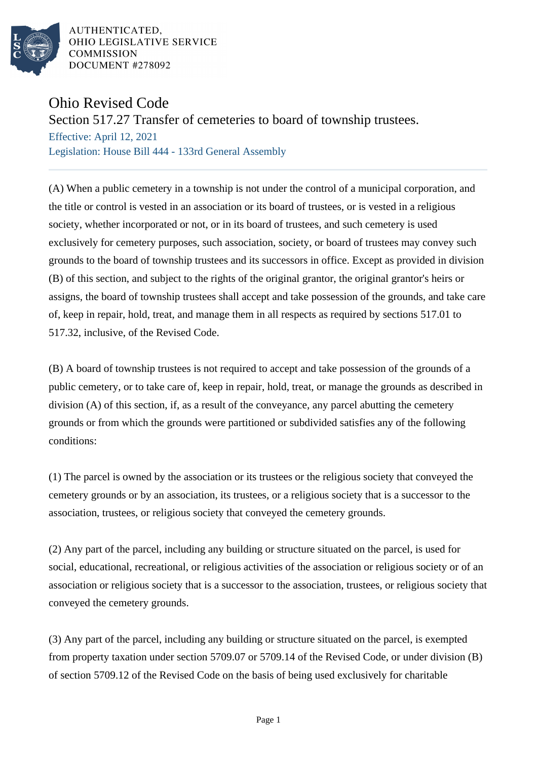

AUTHENTICATED. OHIO LEGISLATIVE SERVICE **COMMISSION** DOCUMENT #278092

## Ohio Revised Code

Section 517.27 Transfer of cemeteries to board of township trustees.

Effective: April 12, 2021 Legislation: House Bill 444 - 133rd General Assembly

(A) When a public cemetery in a township is not under the control of a municipal corporation, and the title or control is vested in an association or its board of trustees, or is vested in a religious society, whether incorporated or not, or in its board of trustees, and such cemetery is used exclusively for cemetery purposes, such association, society, or board of trustees may convey such grounds to the board of township trustees and its successors in office. Except as provided in division (B) of this section, and subject to the rights of the original grantor, the original grantor's heirs or assigns, the board of township trustees shall accept and take possession of the grounds, and take care of, keep in repair, hold, treat, and manage them in all respects as required by sections 517.01 to 517.32, inclusive, of the Revised Code.

(B) A board of township trustees is not required to accept and take possession of the grounds of a public cemetery, or to take care of, keep in repair, hold, treat, or manage the grounds as described in division (A) of this section, if, as a result of the conveyance, any parcel abutting the cemetery grounds or from which the grounds were partitioned or subdivided satisfies any of the following conditions:

(1) The parcel is owned by the association or its trustees or the religious society that conveyed the cemetery grounds or by an association, its trustees, or a religious society that is a successor to the association, trustees, or religious society that conveyed the cemetery grounds.

(2) Any part of the parcel, including any building or structure situated on the parcel, is used for social, educational, recreational, or religious activities of the association or religious society or of an association or religious society that is a successor to the association, trustees, or religious society that conveyed the cemetery grounds.

(3) Any part of the parcel, including any building or structure situated on the parcel, is exempted from property taxation under section 5709.07 or 5709.14 of the Revised Code, or under division (B) of section 5709.12 of the Revised Code on the basis of being used exclusively for charitable